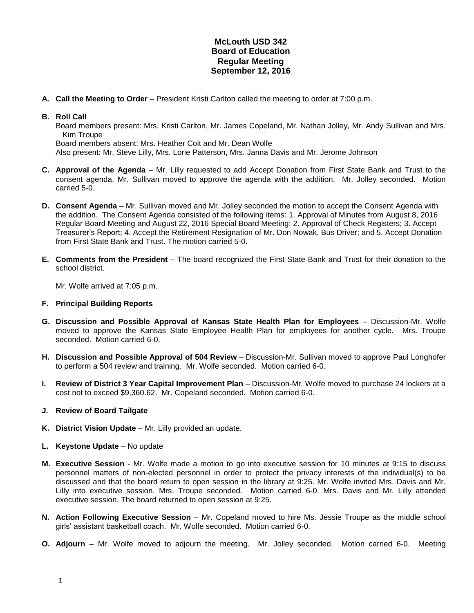## **McLouth USD 342 Board of Education Regular Meeting September 12, 2016**

**A. Call the Meeting to Order** – President Kristi Carlton called the meeting to order at 7:00 p.m.

## **B. Roll Call**

Board members present: Mrs. Kristi Carlton, Mr. James Copeland, Mr. Nathan Jolley, Mr. Andy Sullivan and Mrs. Kim Troupe

Board members absent: Mrs. Heather Coit and Mr. Dean Wolfe

Also present: Mr. Steve Lilly, Mrs. Lorie Patterson, Mrs. Janna Davis and Mr. Jerome Johnson

- **C. Approval of the Agenda** Mr. Lilly requested to add Accept Donation from First State Bank and Trust to the consent agenda. Mr. Sullivan moved to approve the agenda with the addition. Mr. Jolley seconded. Motion carried 5-0.
- **D. Consent Agenda** Mr. Sullivan moved and Mr. Jolley seconded the motion to accept the Consent Agenda with the addition. The Consent Agenda consisted of the following items: 1. Approval of Minutes from August 8, 2016 Regular Board Meeting and August 22, 2016 Special Board Meeting; 2. Approval of Check Registers; 3. Accept Treasurer's Report; 4. Accept the Retirement Resignation of Mr. Don Nowak, Bus Driver; and 5. Accept Donation from First State Bank and Trust. The motion carried 5-0.
- **E. Comments from the President** The board recognized the First State Bank and Trust for their donation to the school district.

Mr. Wolfe arrived at 7:05 p.m.

## **F. Principal Building Reports**

- **G. Discussion and Possible Approval of Kansas State Health Plan for Employees** Discussion-Mr. Wolfe moved to approve the Kansas State Employee Health Plan for employees for another cycle. Mrs. Troupe seconded. Motion carried 6-0.
- **H. Discussion and Possible Approval of 504 Review** Discussion-Mr. Sullivan moved to approve Paul Longhofer to perform a 504 review and training. Mr. Wolfe seconded. Motion carried 6-0.
- **I. Review of District 3 Year Capital Improvement Plan** Discussion-Mr. Wolfe moved to purchase 24 lockers at a cost not to exceed \$9,360.62. Mr. Copeland seconded. Motion carried 6-0.
- **J. Review of Board Tailgate**
- **K. District Vision Update** Mr. Lilly provided an update.
- **L. Keystone Update**  No update
- **M. Executive Session** Mr. Wolfe made a motion to go into executive session for 10 minutes at 9:15 to discuss personnel matters of non-elected personnel in order to protect the privacy interests of the individual(s) to be discussed and that the board return to open session in the library at 9:25. Mr. Wolfe invited Mrs. Davis and Mr. Lilly into executive session. Mrs. Troupe seconded. Motion carried 6-0. Mrs. Davis and Mr. Lilly attended executive session. The board returned to open session at 9:25.
- **N. Action Following Executive Session** Mr. Copeland moved to hire Ms. Jessie Troupe as the middle school girls' assistant basketball coach. Mr. Wolfe seconded. Motion carried 6-0.
- **O. Adjourn** Mr. Wolfe moved to adjourn the meeting. Mr. Jolley seconded. Motion carried 6-0. Meeting